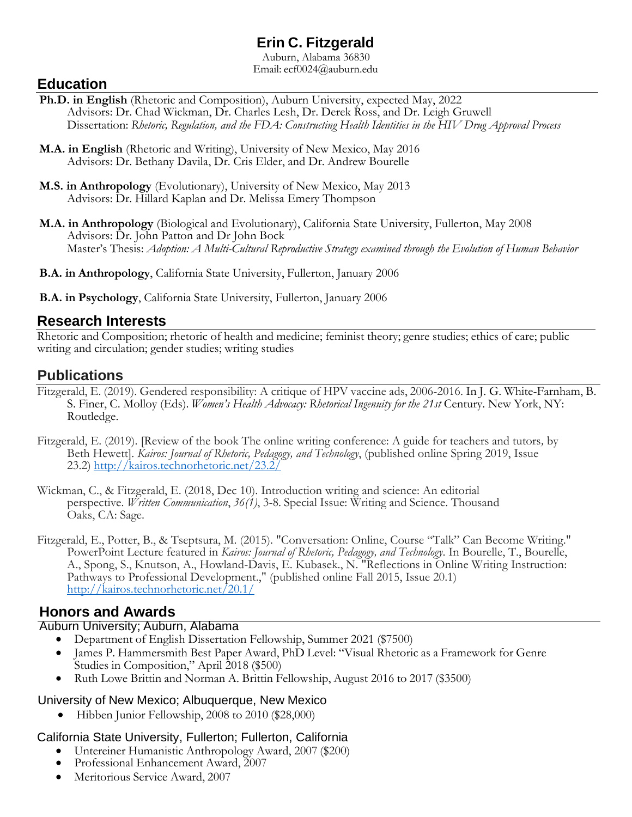# **Erin C. Fitzgerald**

Auburn, Alabama 36830 Email: [ecf0024@auburn.edu](mailto:ecf0024@auburn.edu)

## **Education**

- **Ph.D. in English** (Rhetoric and Composition), Auburn University, expected May, 2022 Advisors: Dr. Chad Wickman, Dr. Charles Lesh, Dr. Derek Ross, and Dr. Leigh Gruwell Dissertation: *Rhetoric, Regulation, and the FDA: Constructing Health Identities in the HIV Drug Approval Process*
- **M.A. in English** (Rhetoric and Writing), University of New Mexico, May 2016 Advisors: Dr. Bethany Davila, Dr. Cris Elder, and Dr. Andrew Bourelle
- **M.S. in Anthropology** (Evolutionary), University of New Mexico, May 2013 Advisors: Dr. Hillard Kaplan and Dr. Melissa Emery Thompson
- **M.A. in Anthropology** (Biological and Evolutionary), California State University, Fullerton, May 2008 Advisors: Dr. John Patton and Dr John Bock Master's Thesis: *Adoption: A Multi-Cultural Reproductive Strategy examined through the Evolution of Human Behavior*
- **B.A. in Anthropology**, California State University, Fullerton, January 2006
- **B.A. in Psychology**, California State University, Fullerton, January 2006

### **Research Interests**

Rhetoric and Composition; rhetoric of health and medicine; feminist theory; genre studies; ethics of care; public writing and circulation; gender studies; writing studies

## **Publications**

- Fitzgerald, E. (2019). Gendered responsibility: A critique of HPV vaccine ads, 2006-2016. In J. G. White-Farnham, B. S. Finer, C. Molloy (Eds). *Women's Health Advocacy: Rhetorical Ingenuity for the 21st* Century. New York, NY: Routledge.
- Fitzgerald, E. (2019). [Review of the book The online writing conference: A guide for teachers and tutors*,* by Beth Hewett]. *Kairos: Journal of Rhetoric, Pedagogy, and Technology*, (published online Spring 2019, Issue 23.2) <http://kairos.technorhetoric.net/23.2/>
- Wickman, C., & Fitzgerald, E. (2018, Dec 10). Introduction writing and science: An editorial perspective. *Written Communication*, *36(1)*, 3-8. Special Issue: Writing and Science. Thousand Oaks, CA: Sage.
- Fitzgerald, E., Potter, B., & Tseptsura, M. (2015). "Conversation: Online, Course "Talk" Can Become Writing." PowerPoint Lecture featured in *Kairos: Journal of Rhetoric, Pedagogy, and Technology*. In Bourelle, T., Bourelle, A., Spong, S., Knutson, A., Howland-Davis, E. Kubasek., N. "Reflections in Online Writing Instruction: Pathways to Professional Development.," (published online Fall 2015, Issue 20.1) <http://kairos.technorhetoric.net/20.1/>

## **Honors and Awards**

### Auburn University; Auburn, Alabama

- Department of English Dissertation Fellowship, Summer 2021 (\$7500)
- James P. Hammersmith Best Paper Award, PhD Level: "Visual Rhetoric as a Framework for Genre Studies in Composition," April 2018 (\$500)
- Ruth Lowe Brittin and Norman A. Brittin Fellowship, August 2016 to 2017 (\$3500)

#### University of New Mexico; Albuquerque, New Mexico

• Hibben Junior Fellowship, 2008 to 2010 (\$28,000)

### California State University, Fullerton; Fullerton, California

- Untereiner Humanistic Anthropology Award, 2007 (\$200)
- Professional Enhancement Award, 2007
- Meritorious Service Award, 2007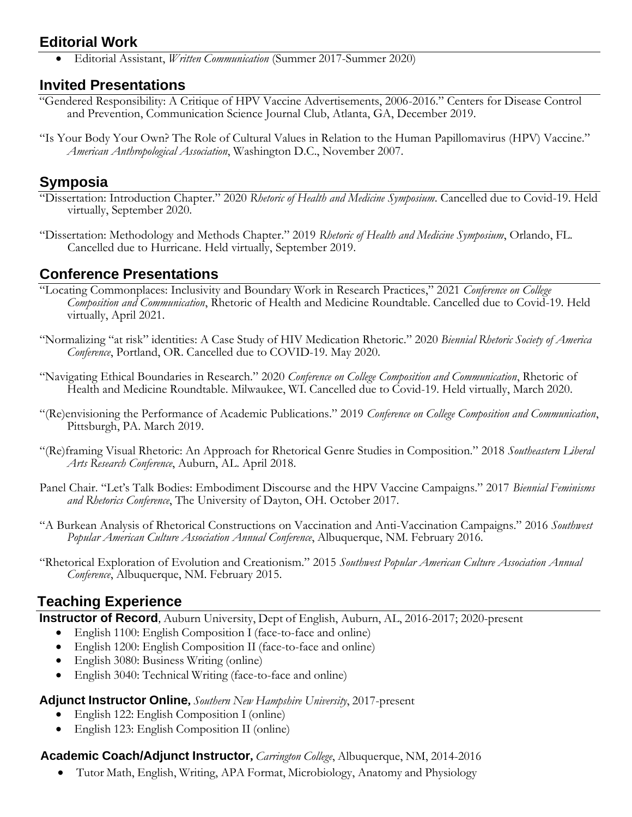## **Editorial Work**

• Editorial Assistant, *Written Communication* (Summer 2017-Summer 2020)

## **Invited Presentations**

- "Gendered Responsibility: A Critique of HPV Vaccine Advertisements, 2006-2016." Centers for Disease Control and Prevention, Communication Science Journal Club, Atlanta, GA, December 2019.
- "Is Your Body Your Own? The Role of Cultural Values in Relation to the Human Papillomavirus (HPV) Vaccine." *American Anthropological Association*, Washington D.C., November 2007.

## **Symposia**

- "Dissertation: Introduction Chapter." 2020 *Rhetoric of Health and Medicine Symposium*. Cancelled due to Covid-19. Held virtually, September 2020.
- "Dissertation: Methodology and Methods Chapter." 2019 *Rhetoric of Health and Medicine Symposium*, Orlando, FL. Cancelled due to Hurricane. Held virtually, September 2019.

## **Conference Presentations**

- "Locating Commonplaces: Inclusivity and Boundary Work in Research Practices," 2021 *Conference on College Composition and Communication*, Rhetoric of Health and Medicine Roundtable. Cancelled due to Covid-19. Held virtually, April 2021.
- "Normalizing "at risk" identities: A Case Study of HIV Medication Rhetoric." 2020 *Biennial Rhetoric Society of America Conference*, Portland, OR. Cancelled due to COVID-19. May 2020.
- "Navigating Ethical Boundaries in Research." 2020 *Conference on College Composition and Communication*, Rhetoric of Health and Medicine Roundtable. Milwaukee, WI. Cancelled due to Covid-19. Held virtually, March 2020.
- "(Re)envisioning the Performance of Academic Publications." 2019 *Conference on College Composition and Communication*, Pittsburgh, PA. March 2019.
- "(Re)framing Visual Rhetoric: An Approach for Rhetorical Genre Studies in Composition." 2018 *Southeastern Liberal Arts Research Conference*, Auburn, AL. April 2018.
- Panel Chair. "Let's Talk Bodies: Embodiment Discourse and the HPV Vaccine Campaigns." 2017 *Biennial Feminisms and Rhetorics Conference*, The University of Dayton, OH. October 2017.
- "A Burkean Analysis of Rhetorical Constructions on Vaccination and Anti-Vaccination Campaigns." 2016 *Southwest Popular American Culture Association Annual Conference*, Albuquerque, NM. February 2016.
- "Rhetorical Exploration of Evolution and Creationism." 2015 *Southwest Popular American Culture Association Annual Conference*, Albuquerque, NM. February 2015.

## **Teaching Experience**

**Instructor of Record**, Auburn University, Dept of English, Auburn, AL, 2016-2017; 2020-present

- English 1100: English Composition I (face-to-face and online)
- English 1200: English Composition II (face-to-face and online)
- English 3080: Business Writing (online)
- English 3040: Technical Writing (face-to-face and online)

#### **Adjunct Instructor Online,** *Southern New Hampshire University*, 2017-present

- English 122: English Composition I (online)
- English 123: English Composition II (online)

### **Academic Coach/Adjunct Instructor,** *Carrington College*, Albuquerque, NM, 2014-2016

• Tutor Math, English, Writing, APA Format, Microbiology, Anatomy and Physiology